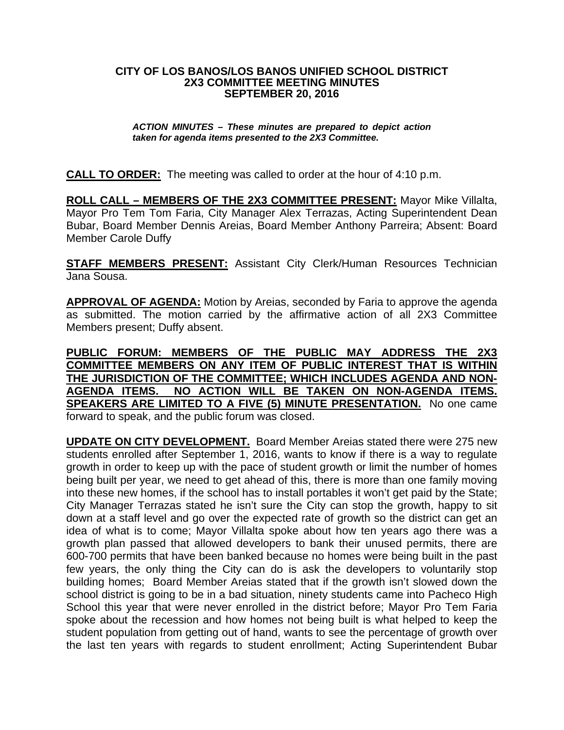## **CITY OF LOS BANOS/LOS BANOS UNIFIED SCHOOL DISTRICT 2X3 COMMITTEE MEETING MINUTES SEPTEMBER 20, 2016**

## *ACTION MINUTES – These minutes are prepared to depict action taken for agenda items presented to the 2X3 Committee.*

**CALL TO ORDER:** The meeting was called to order at the hour of 4:10 p.m.

**ROLL CALL – MEMBERS OF THE 2X3 COMMITTEE PRESENT:** Mayor Mike Villalta, Mayor Pro Tem Tom Faria, City Manager Alex Terrazas, Acting Superintendent Dean Bubar, Board Member Dennis Areias, Board Member Anthony Parreira; Absent: Board Member Carole Duffy

**STAFF MEMBERS PRESENT:** Assistant City Clerk/Human Resources Technician Jana Sousa.

**APPROVAL OF AGENDA:** Motion by Areias, seconded by Faria to approve the agenda as submitted. The motion carried by the affirmative action of all 2X3 Committee Members present; Duffy absent.

**PUBLIC FORUM: MEMBERS OF THE PUBLIC MAY ADDRESS THE 2X3 COMMITTEE MEMBERS ON ANY ITEM OF PUBLIC INTEREST THAT IS WITHIN THE JURISDICTION OF THE COMMITTEE; WHICH INCLUDES AGENDA AND NON-AGENDA ITEMS. NO ACTION WILL BE TAKEN ON NON-AGENDA ITEMS. SPEAKERS ARE LIMITED TO A FIVE (5) MINUTE PRESENTATION.** No one came forward to speak, and the public forum was closed.

**UPDATE ON CITY DEVELOPMENT.** Board Member Areias stated there were 275 new students enrolled after September 1, 2016, wants to know if there is a way to regulate growth in order to keep up with the pace of student growth or limit the number of homes being built per year, we need to get ahead of this, there is more than one family moving into these new homes, if the school has to install portables it won't get paid by the State; City Manager Terrazas stated he isn't sure the City can stop the growth, happy to sit down at a staff level and go over the expected rate of growth so the district can get an idea of what is to come; Mayor Villalta spoke about how ten years ago there was a growth plan passed that allowed developers to bank their unused permits, there are 600-700 permits that have been banked because no homes were being built in the past few years, the only thing the City can do is ask the developers to voluntarily stop building homes; Board Member Areias stated that if the growth isn't slowed down the school district is going to be in a bad situation, ninety students came into Pacheco High School this year that were never enrolled in the district before; Mayor Pro Tem Faria spoke about the recession and how homes not being built is what helped to keep the student population from getting out of hand, wants to see the percentage of growth over the last ten years with regards to student enrollment; Acting Superintendent Bubar